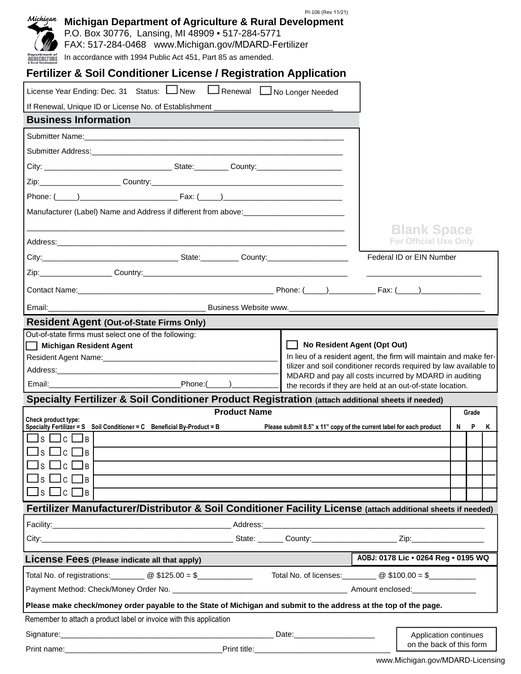| Michigan<br>Michigan Department of Agriculture & Rural Development<br>P.O. Box 30776, Lansing, MI 48909 . 517-284-5771<br>FAX: 517-284-0468 www.Michigan.gov/MDARD-Fertilizer<br>In accordance with 1994 Public Act 451, Part 85 as amended.<br>AGRICULTURE | PI-106 (Rev 11/21)                                                  |                                                                                                                    |
|-------------------------------------------------------------------------------------------------------------------------------------------------------------------------------------------------------------------------------------------------------------|---------------------------------------------------------------------|--------------------------------------------------------------------------------------------------------------------|
| <b>Fertilizer &amp; Soil Conditioner License / Registration Application</b>                                                                                                                                                                                 |                                                                     |                                                                                                                    |
| License Year Ending: Dec. 31 Status: New Renewal No Longer Needed                                                                                                                                                                                           |                                                                     |                                                                                                                    |
| If Renewal, Unique ID or License No. of Establishment ___________________________                                                                                                                                                                           |                                                                     |                                                                                                                    |
| <b>Business Information</b>                                                                                                                                                                                                                                 |                                                                     |                                                                                                                    |
|                                                                                                                                                                                                                                                             |                                                                     |                                                                                                                    |
|                                                                                                                                                                                                                                                             |                                                                     |                                                                                                                    |
|                                                                                                                                                                                                                                                             |                                                                     |                                                                                                                    |
|                                                                                                                                                                                                                                                             |                                                                     |                                                                                                                    |
|                                                                                                                                                                                                                                                             |                                                                     |                                                                                                                    |
| Manufacturer (Label) Name and Address if different from above: __________________                                                                                                                                                                           |                                                                     |                                                                                                                    |
|                                                                                                                                                                                                                                                             |                                                                     | <b>Blank Space</b>                                                                                                 |
|                                                                                                                                                                                                                                                             |                                                                     | <b>For Official Use Only</b>                                                                                       |
| City: Current County: County:                                                                                                                                                                                                                               |                                                                     | Federal ID or EIN Number                                                                                           |
|                                                                                                                                                                                                                                                             |                                                                     |                                                                                                                    |
|                                                                                                                                                                                                                                                             |                                                                     |                                                                                                                    |
|                                                                                                                                                                                                                                                             |                                                                     |                                                                                                                    |
| <b>Resident Agent (Out-of-State Firms Only)</b>                                                                                                                                                                                                             |                                                                     |                                                                                                                    |
| Out-of-state firms must select one of the following:                                                                                                                                                                                                        |                                                                     |                                                                                                                    |
| <b>Michigan Resident Agent</b>                                                                                                                                                                                                                              | No Resident Agent (Opt Out)                                         | In lieu of a resident agent, the firm will maintain and make fer-                                                  |
|                                                                                                                                                                                                                                                             |                                                                     | tilizer and soil conditioner records required by law available to                                                  |
| $Phone: ($ —– $)$                                                                                                                                                                                                                                           |                                                                     | MDARD and pay all costs incurred by MDARD in auditing<br>the records if they are held at an out-of-state location. |
| Specialty Fertilizer & Soil Conditioner Product Registration (attach additional sheets if needed)                                                                                                                                                           |                                                                     |                                                                                                                    |
| <b>Product Name</b>                                                                                                                                                                                                                                         |                                                                     | Grade                                                                                                              |
| Check product type:<br>Specialty Fertilizer = S Soil Conditioner = C Beneficial By-Product = B                                                                                                                                                              | Please submit 8.5" x 11" copy of the current label for each product | N<br><b>P</b><br>К                                                                                                 |
| $\sqcup$ c $\sqcup$ b                                                                                                                                                                                                                                       |                                                                     |                                                                                                                    |
| $\sqcup$ c                                                                                                                                                                                                                                                  |                                                                     |                                                                                                                    |
| $\mathsf{C}$<br>l B                                                                                                                                                                                                                                         |                                                                     |                                                                                                                    |
| $\sqcup$ c<br>IB.<br>S.                                                                                                                                                                                                                                     |                                                                     |                                                                                                                    |
| $\square$ s $\square$ c $\square$ b                                                                                                                                                                                                                         |                                                                     |                                                                                                                    |
| Fertilizer Manufacturer/Distributor & Soil Conditioner Facility License (attach additional sheets if needed)                                                                                                                                                |                                                                     |                                                                                                                    |
|                                                                                                                                                                                                                                                             |                                                                     |                                                                                                                    |
|                                                                                                                                                                                                                                                             |                                                                     |                                                                                                                    |
| License Fees (Please indicate all that apply)                                                                                                                                                                                                               |                                                                     | AOBJ: 0178 Lic . 0264 Reg . 0195 WQ                                                                                |
| Total No. of registrations: $\Box$ $\Box$ $\Box$ $\Box$ $\Box$ $\Box$ Total No. of licenses: $\Box$ $\Box$ $\Box$ $\Box$ $\Box$                                                                                                                             |                                                                     |                                                                                                                    |
|                                                                                                                                                                                                                                                             |                                                                     |                                                                                                                    |
| Please make check/money order payable to the State of Michigan and submit to the address at the top of the page.                                                                                                                                            |                                                                     |                                                                                                                    |
| Remember to attach a product label or invoice with this application                                                                                                                                                                                         |                                                                     |                                                                                                                    |
|                                                                                                                                                                                                                                                             |                                                                     |                                                                                                                    |
|                                                                                                                                                                                                                                                             |                                                                     | Application continues                                                                                              |